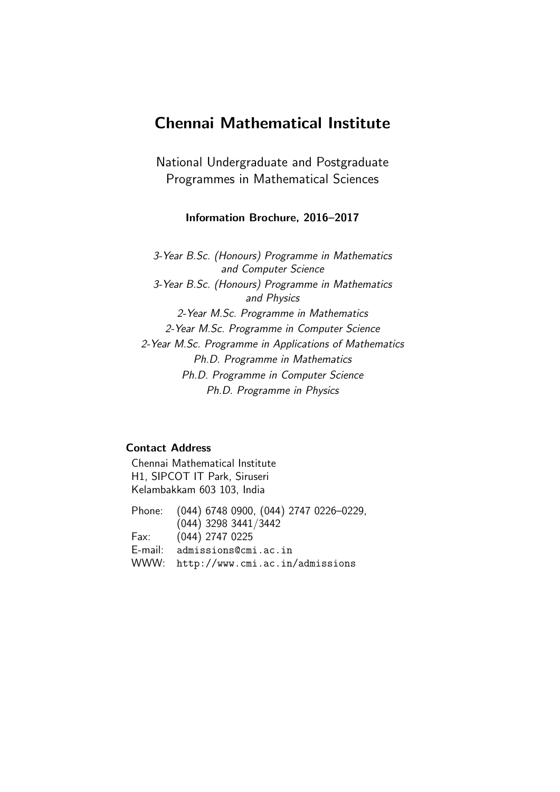# Chennai Mathematical Institute

National Undergraduate and Postgraduate Programmes in Mathematical Sciences

## Information Brochure, 2016–2017

3-Year B.Sc. (Honours) Programme in Mathematics and Computer Science 3-Year B.Sc. (Honours) Programme in Mathematics and Physics 2-Year M.Sc. Programme in Mathematics 2-Year M.Sc. Programme in Computer Science 2-Year M.Sc. Programme in Applications of Mathematics Ph.D. Programme in Mathematics Ph.D. Programme in Computer Science Ph.D. Programme in Physics

## Contact Address

Chennai Mathematical Institute H1, SIPCOT IT Park, Siruseri Kelambakkam 603 103, India

Phone: (044) 6748 0900, (044) 2747 0226–0229, (044) 3298 3441/3442 Fax: (044) 2747 0225 E-mail: admissions@cmi.ac.in WWW: http://www.cmi.ac.in/admissions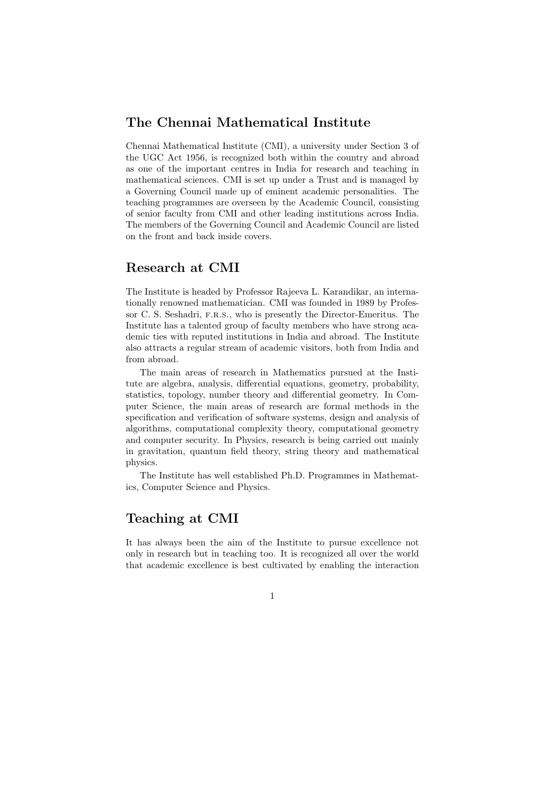## The Chennai Mathematical Institute

Chennai Mathematical Institute (CMI), a university under Section 3 of the UGC Act 1956, is recognized both within the country and abroad as one of the important centres in India for research and teaching in mathematical sciences. CMI is set up under a Trust and is managed by a Governing Council made up of eminent academic personalities. The teaching programmes are overseen by the Academic Council, consisting of senior faculty from CMI and other leading institutions across India. The members of the Governing Council and Academic Council are listed on the front and back inside covers.

## Research at CMI

The Institute is headed by Professor Rajeeva L. Karandikar, an internationally renowned mathematician. CMI was founded in 1989 by Professor C. S. Seshadri, f.r.s., who is presently the Director-Emeritus. The Institute has a talented group of faculty members who have strong academic ties with reputed institutions in India and abroad. The Institute also attracts a regular stream of academic visitors, both from India and from abroad.

The main areas of research in Mathematics pursued at the Institute are algebra, analysis, differential equations, geometry, probability, statistics, topology, number theory and differential geometry. In Computer Science, the main areas of research are formal methods in the specification and verification of software systems, design and analysis of algorithms, computational complexity theory, computational geometry and computer security. In Physics, research is being carried out mainly in gravitation, quantum field theory, string theory and mathematical physics.

The Institute has well established Ph.D. Programmes in Mathematics, Computer Science and Physics.

## Teaching at CMI

It has always been the aim of the Institute to pursue excellence not only in research but in teaching too. It is recognized all over the world that academic excellence is best cultivated by enabling the interaction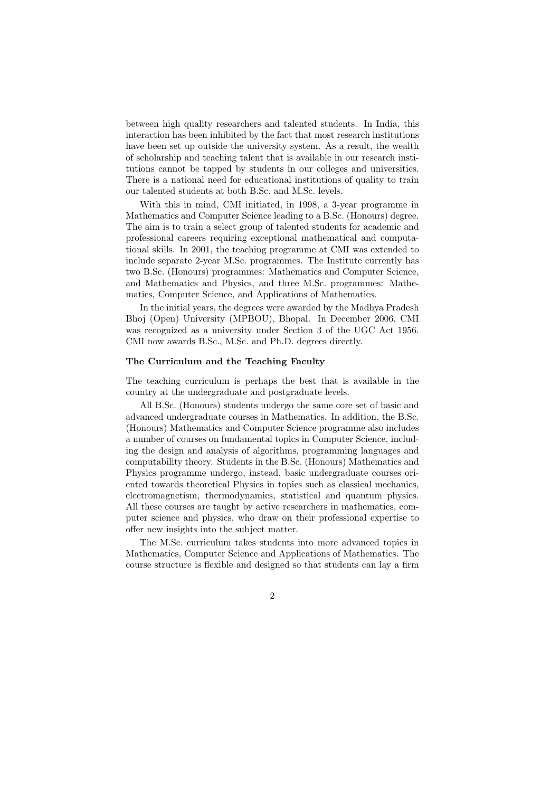between high quality researchers and talented students. In India, this interaction has been inhibited by the fact that most research institutions have been set up outside the university system. As a result, the wealth of scholarship and teaching talent that is available in our research institutions cannot be tapped by students in our colleges and universities. There is a national need for educational institutions of quality to train our talented students at both B.Sc. and M.Sc. levels.

With this in mind, CMI initiated, in 1998, a 3-year programme in Mathematics and Computer Science leading to a B.Sc. (Honours) degree. The aim is to train a select group of talented students for academic and professional careers requiring exceptional mathematical and computational skills. In 2001, the teaching programme at CMI was extended to include separate 2-year M.Sc. programmes. The Institute currently has two B.Sc. (Honours) programmes: Mathematics and Computer Science, and Mathematics and Physics, and three M.Sc. programmes: Mathematics, Computer Science, and Applications of Mathematics.

In the initial years, the degrees were awarded by the Madhya Pradesh Bhoj (Open) University (MPBOU), Bhopal. In December 2006, CMI was recognized as a university under Section 3 of the UGC Act 1956. CMI now awards B.Sc., M.Sc. and Ph.D. degrees directly.

#### The Curriculum and the Teaching Faculty

The teaching curriculum is perhaps the best that is available in the country at the undergraduate and postgraduate levels.

All B.Sc. (Honours) students undergo the same core set of basic and advanced undergraduate courses in Mathematics. In addition, the B.Sc. (Honours) Mathematics and Computer Science programme also includes a number of courses on fundamental topics in Computer Science, including the design and analysis of algorithms, programming languages and computability theory. Students in the B.Sc. (Honours) Mathematics and Physics programme undergo, instead, basic undergraduate courses oriented towards theoretical Physics in topics such as classical mechanics, electromagnetism, thermodynamics, statistical and quantum physics. All these courses are taught by active researchers in mathematics, computer science and physics, who draw on their professional expertise to offer new insights into the subject matter.

The M.Sc. curriculum takes students into more advanced topics in Mathematics, Computer Science and Applications of Mathematics. The course structure is flexible and designed so that students can lay a firm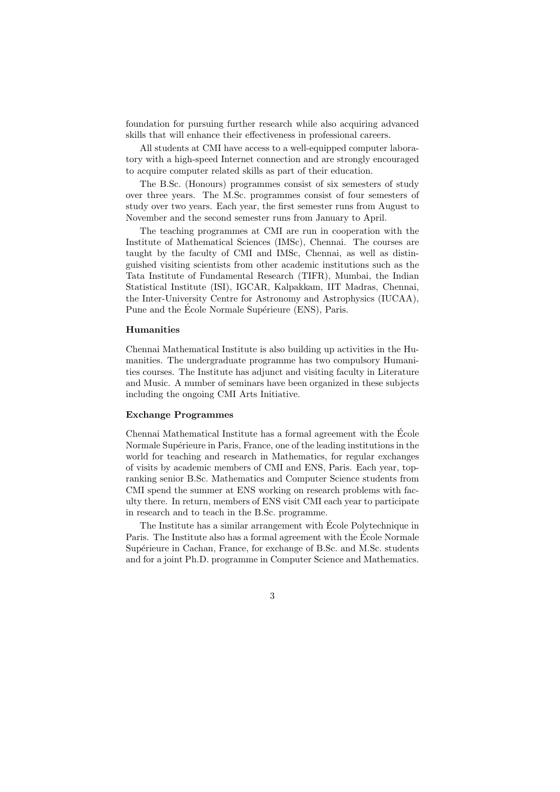foundation for pursuing further research while also acquiring advanced skills that will enhance their effectiveness in professional careers.

All students at CMI have access to a well-equipped computer laboratory with a high-speed Internet connection and are strongly encouraged to acquire computer related skills as part of their education.

The B.Sc. (Honours) programmes consist of six semesters of study over three years. The M.Sc. programmes consist of four semesters of study over two years. Each year, the first semester runs from August to November and the second semester runs from January to April.

The teaching programmes at CMI are run in cooperation with the Institute of Mathematical Sciences (IMSc), Chennai. The courses are taught by the faculty of CMI and IMSc, Chennai, as well as distinguished visiting scientists from other academic institutions such as the Tata Institute of Fundamental Research (TIFR), Mumbai, the Indian Statistical Institute (ISI), IGCAR, Kalpakkam, IIT Madras, Chennai, the Inter-University Centre for Astronomy and Astrophysics (IUCAA), Pune and the École Normale Supérieure (ENS), Paris.

#### Humanities

Chennai Mathematical Institute is also building up activities in the Humanities. The undergraduate programme has two compulsory Humanities courses. The Institute has adjunct and visiting faculty in Literature and Music. A number of seminars have been organized in these subjects including the ongoing CMI Arts Initiative.

#### Exchange Programmes

Chennai Mathematical Institute has a formal agreement with the Ecole ´ Normale Supérieure in Paris, France, one of the leading institutions in the world for teaching and research in Mathematics, for regular exchanges of visits by academic members of CMI and ENS, Paris. Each year, topranking senior B.Sc. Mathematics and Computer Science students from CMI spend the summer at ENS working on research problems with faculty there. In return, members of ENS visit CMI each year to participate in research and to teach in the B.Sc. programme.

The Institute has a similar arrangement with Ecole Polytechnique in Paris. The Institute also has a formal agreement with the Ecole Normale ´ Supérieure in Cachan, France, for exchange of B.Sc. and M.Sc. students and for a joint Ph.D. programme in Computer Science and Mathematics.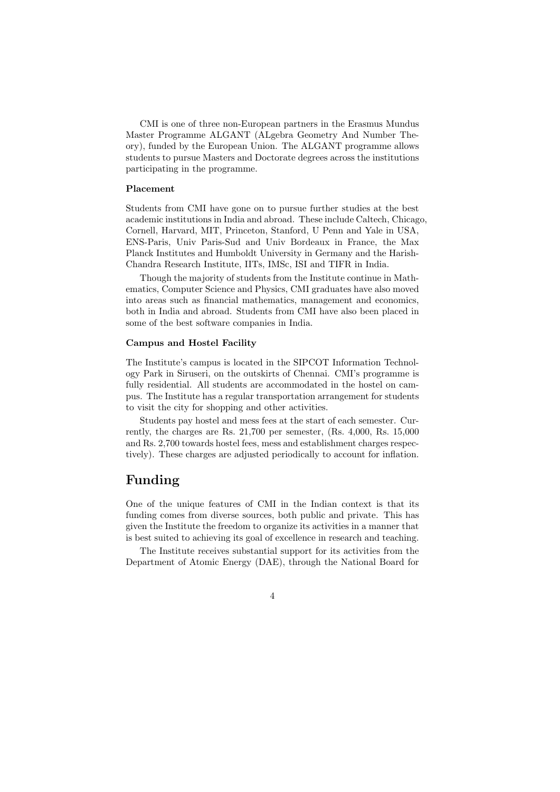CMI is one of three non-European partners in the Erasmus Mundus Master Programme ALGANT (ALgebra Geometry And Number Theory), funded by the European Union. The ALGANT programme allows students to pursue Masters and Doctorate degrees across the institutions participating in the programme.

#### Placement

Students from CMI have gone on to pursue further studies at the best academic institutions in India and abroad. These include Caltech, Chicago, Cornell, Harvard, MIT, Princeton, Stanford, U Penn and Yale in USA, ENS-Paris, Univ Paris-Sud and Univ Bordeaux in France, the Max Planck Institutes and Humboldt University in Germany and the Harish-Chandra Research Institute, IITs, IMSc, ISI and TIFR in India.

Though the majority of students from the Institute continue in Mathematics, Computer Science and Physics, CMI graduates have also moved into areas such as financial mathematics, management and economics, both in India and abroad. Students from CMI have also been placed in some of the best software companies in India.

#### Campus and Hostel Facility

The Institute's campus is located in the SIPCOT Information Technology Park in Siruseri, on the outskirts of Chennai. CMI's programme is fully residential. All students are accommodated in the hostel on campus. The Institute has a regular transportation arrangement for students to visit the city for shopping and other activities.

Students pay hostel and mess fees at the start of each semester. Currently, the charges are Rs. 21,700 per semester, (Rs. 4,000, Rs. 15,000 and Rs. 2,700 towards hostel fees, mess and establishment charges respectively). These charges are adjusted periodically to account for inflation.

## Funding

One of the unique features of CMI in the Indian context is that its funding comes from diverse sources, both public and private. This has given the Institute the freedom to organize its activities in a manner that is best suited to achieving its goal of excellence in research and teaching.

The Institute receives substantial support for its activities from the Department of Atomic Energy (DAE), through the National Board for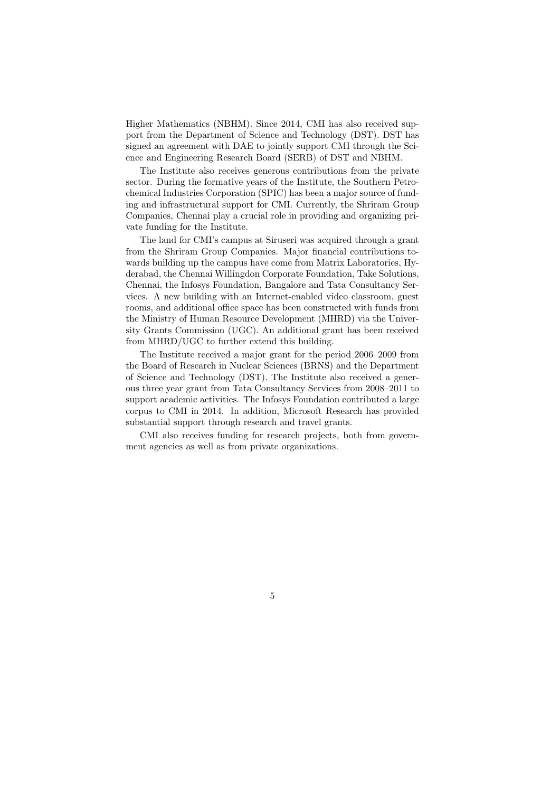Higher Mathematics (NBHM). Since 2014, CMI has also received support from the Department of Science and Technology (DST). DST has signed an agreement with DAE to jointly support CMI through the Science and Engineering Research Board (SERB) of DST and NBHM.

The Institute also receives generous contributions from the private sector. During the formative years of the Institute, the Southern Petrochemical Industries Corporation (SPIC) has been a major source of funding and infrastructural support for CMI. Currently, the Shriram Group Companies, Chennai play a crucial role in providing and organizing private funding for the Institute.

The land for CMI's campus at Siruseri was acquired through a grant from the Shriram Group Companies. Major financial contributions towards building up the campus have come from Matrix Laboratories, Hyderabad, the Chennai Willingdon Corporate Foundation, Take Solutions, Chennai, the Infosys Foundation, Bangalore and Tata Consultancy Services. A new building with an Internet-enabled video classroom, guest rooms, and additional office space has been constructed with funds from the Ministry of Human Resource Development (MHRD) via the University Grants Commission (UGC). An additional grant has been received from MHRD/UGC to further extend this building.

The Institute received a major grant for the period 2006–2009 from the Board of Research in Nuclear Sciences (BRNS) and the Department of Science and Technology (DST). The Institute also received a generous three year grant from Tata Consultancy Services from 2008–2011 to support academic activities. The Infosys Foundation contributed a large corpus to CMI in 2014. In addition, Microsoft Research has provided substantial support through research and travel grants.

CMI also receives funding for research projects, both from government agencies as well as from private organizations.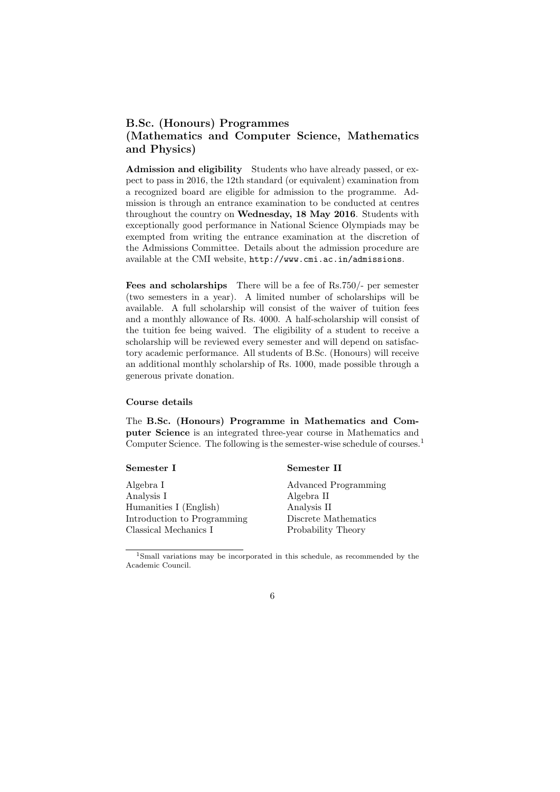## B.Sc. (Honours) Programmes (Mathematics and Computer Science, Mathematics and Physics)

Admission and eligibility Students who have already passed, or expect to pass in 2016, the 12th standard (or equivalent) examination from a recognized board are eligible for admission to the programme. Admission is through an entrance examination to be conducted at centres throughout the country on Wednesday, 18 May 2016. Students with exceptionally good performance in National Science Olympiads may be exempted from writing the entrance examination at the discretion of the Admissions Committee. Details about the admission procedure are available at the CMI website, http://www.cmi.ac.in/admissions.

Fees and scholarships There will be a fee of Rs.750/- per semester (two semesters in a year). A limited number of scholarships will be available. A full scholarship will consist of the waiver of tuition fees and a monthly allowance of Rs. 4000. A half-scholarship will consist of the tuition fee being waived. The eligibility of a student to receive a scholarship will be reviewed every semester and will depend on satisfactory academic performance. All students of B.Sc. (Honours) will receive an additional monthly scholarship of Rs. 1000, made possible through a generous private donation.

#### Course details

The B.Sc. (Honours) Programme in Mathematics and Computer Science is an integrated three-year course in Mathematics and Computer Science. The following is the semester-wise schedule of courses.<sup>1</sup>

#### Semester I

### Semester II

Algebra I Analysis I Humanities I (English) Introduction to Programming Classical Mechanics I

Advanced Programming Algebra II Analysis II Discrete Mathematics Probability Theory

<sup>1</sup>Small variations may be incorporated in this schedule, as recommended by the Academic Council.

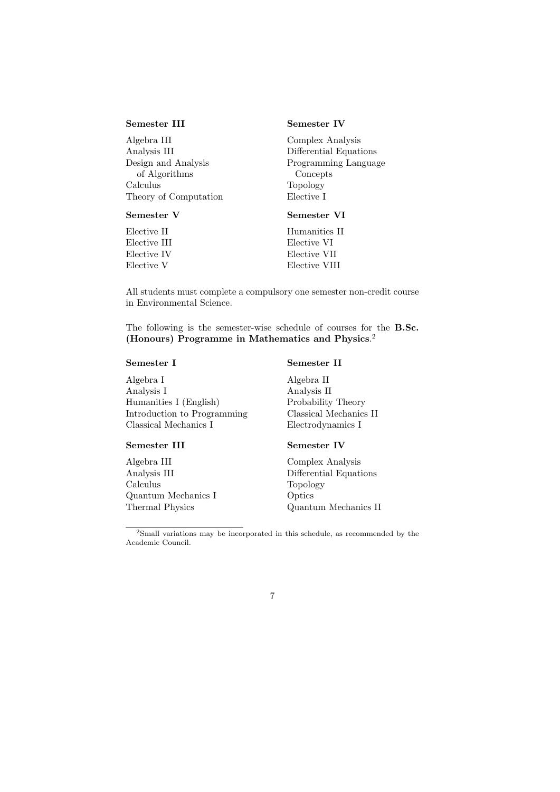#### Semester III

Algebra III Analysis III Design and Analysis of Algorithms Calculus Theory of Computation

### Semester V

Elective II Elective III Elective IV Elective V

### Semester IV

Complex Analysis Differential Equations Programming Language Concepts Topology Elective I

## Semester VI

Humanities II Elective VI Elective VII Elective VIII

All students must complete a compulsory one semester non-credit course in Environmental Science.

The following is the semester-wise schedule of courses for the B.Sc. (Honours) Programme in Mathematics and Physics. 2

### Semester I

## Algebra I Analysis I Humanities I (English) Introduction to Programming Classical Mechanics I

#### Semester III

Algebra III Analysis III Calculus Quantum Mechanics I Thermal Physics

## Semester II

Algebra II Analysis II Probability Theory Classical Mechanics II Electrodynamics I

#### Semester IV

Complex Analysis Differential Equations Topology **Optics** Quantum Mechanics II

<sup>2</sup>Small variations may be incorporated in this schedule, as recommended by the Academic Council.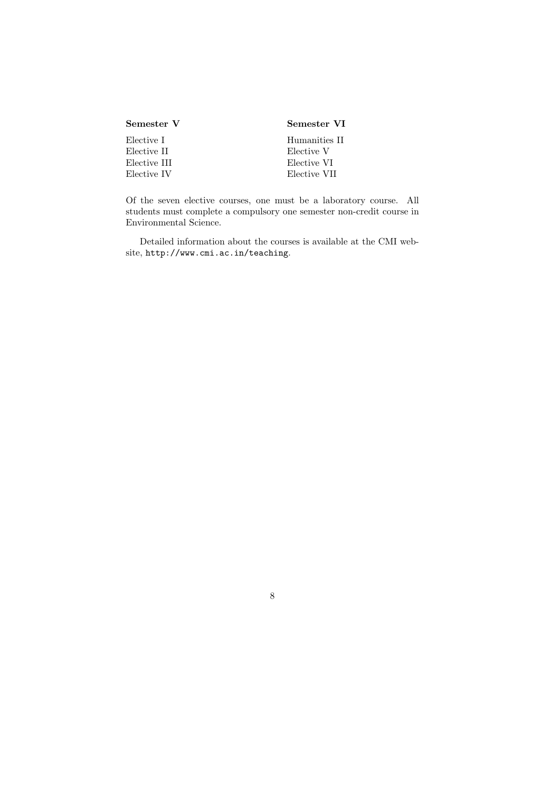| Semester V   | Semester VI   |
|--------------|---------------|
| Elective I   | Humanities II |
| Elective II  | Elective V    |
| Elective III | Elective VI   |
| Elective IV  | Elective VII  |

Of the seven elective courses, one must be a laboratory course. All students must complete a compulsory one semester non-credit course in Environmental Science.

Detailed information about the courses is available at the CMI website, http://www.cmi.ac.in/teaching.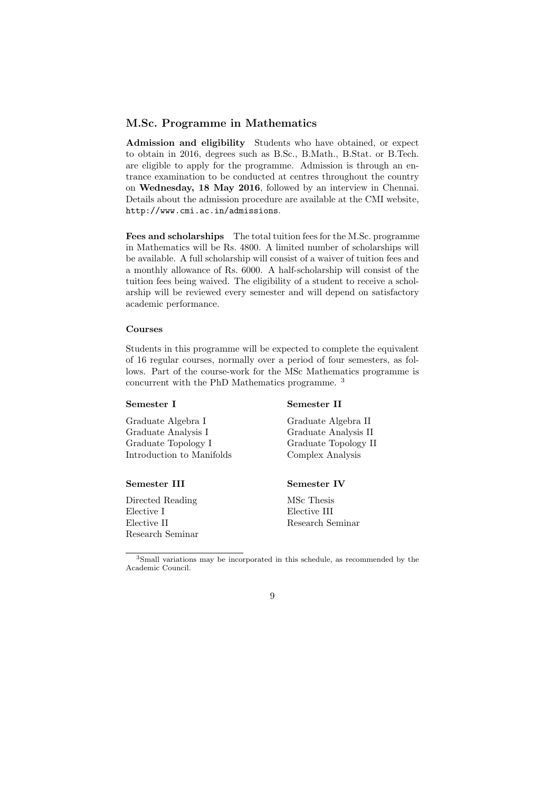## M.Sc. Programme in Mathematics

Admission and eligibility Students who have obtained, or expect to obtain in 2016, degrees such as B.Sc., B.Math., B.Stat. or B.Tech. are eligible to apply for the programme. Admission is through an entrance examination to be conducted at centres throughout the country on Wednesday, 18 May 2016, followed by an interview in Chennai. Details about the admission procedure are available at the CMI website, http://www.cmi.ac.in/admissions.

Fees and scholarships The total tuition fees for the M.Sc. programme in Mathematics will be Rs. 4800. A limited number of scholarships will be available. A full scholarship will consist of a waiver of tuition fees and a monthly allowance of Rs. 6000. A half-scholarship will consist of the tuition fees being waived. The eligibility of a student to receive a scholarship will be reviewed every semester and will depend on satisfactory academic performance.

#### Courses

Students in this programme will be expected to complete the equivalent of 16 regular courses, normally over a period of four semesters, as follows. Part of the course-work for the MSc Mathematics programme is concurrent with the PhD Mathematics programme. <sup>3</sup>

#### Semester I

## Graduate Algebra I Graduate Analysis I Graduate Topology I

Introduction to Manifolds

#### Semester III

Directed Reading Elective I Elective II Research Seminar Graduate Algebra II Graduate Analysis II Graduate Topology II Complex Analysis

### Semester IV

Semester II

MSc Thesis Elective III Research Seminar

<sup>3</sup>Small variations may be incorporated in this schedule, as recommended by the Academic Council.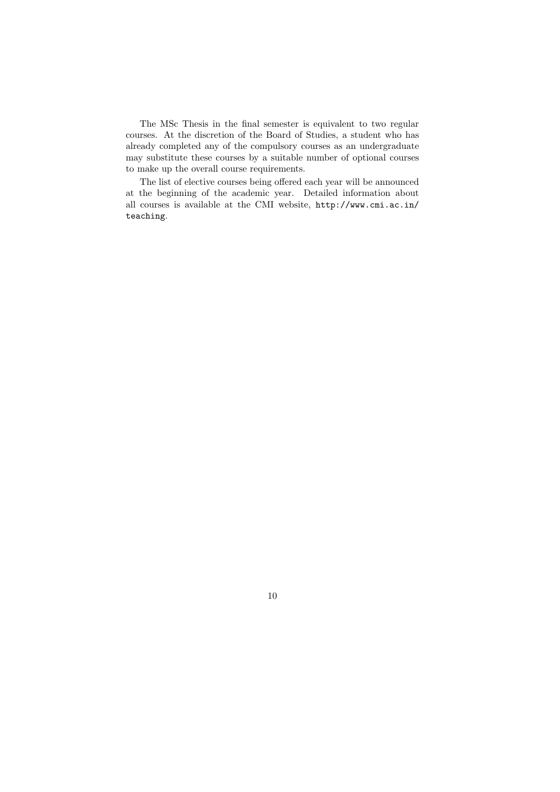The MSc Thesis in the final semester is equivalent to two regular courses. At the discretion of the Board of Studies, a student who has already completed any of the compulsory courses as an undergraduate may substitute these courses by a suitable number of optional courses to make up the overall course requirements.

The list of elective courses being offered each year will be announced at the beginning of the academic year. Detailed information about all courses is available at the CMI website, http://www.cmi.ac.in/ teaching.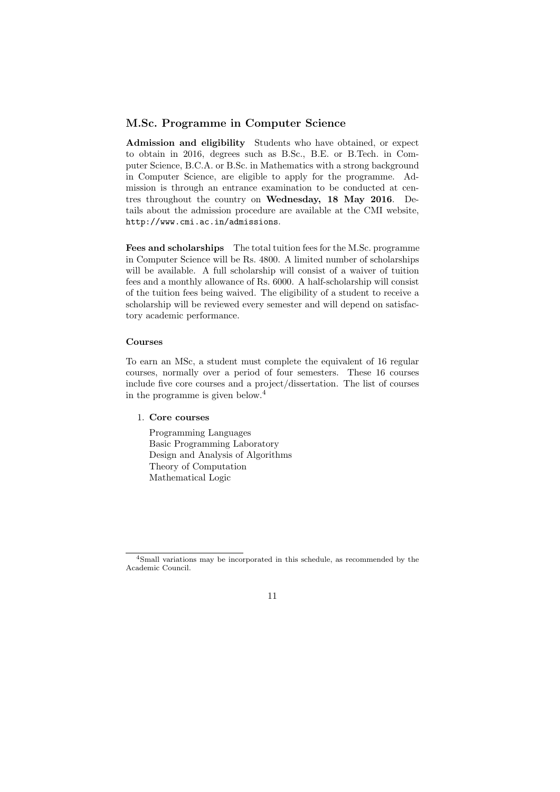## M.Sc. Programme in Computer Science

Admission and eligibility Students who have obtained, or expect to obtain in 2016, degrees such as B.Sc., B.E. or B.Tech. in Computer Science, B.C.A. or B.Sc. in Mathematics with a strong background in Computer Science, are eligible to apply for the programme. Admission is through an entrance examination to be conducted at centres throughout the country on Wednesday, 18 May 2016. Details about the admission procedure are available at the CMI website, http://www.cmi.ac.in/admissions.

Fees and scholarships The total tuition fees for the M.Sc. programme in Computer Science will be Rs. 4800. A limited number of scholarships will be available. A full scholarship will consist of a waiver of tuition fees and a monthly allowance of Rs. 6000. A half-scholarship will consist of the tuition fees being waived. The eligibility of a student to receive a scholarship will be reviewed every semester and will depend on satisfactory academic performance.

#### Courses

To earn an MSc, a student must complete the equivalent of 16 regular courses, normally over a period of four semesters. These 16 courses include five core courses and a project/dissertation. The list of courses in the programme is given below.<sup>4</sup>

## 1. Core courses

Programming Languages Basic Programming Laboratory Design and Analysis of Algorithms Theory of Computation Mathematical Logic

<sup>4</sup>Small variations may be incorporated in this schedule, as recommended by the Academic Council.

<sup>11</sup>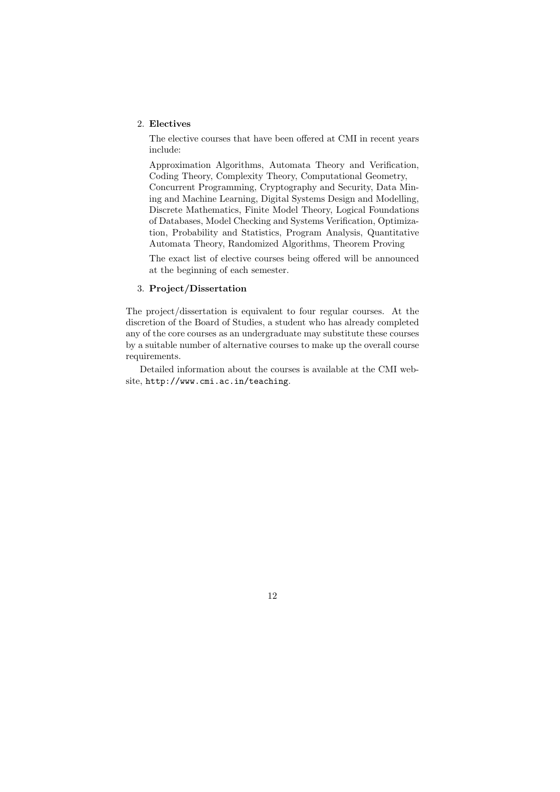#### 2. Electives

The elective courses that have been offered at CMI in recent years include:

Approximation Algorithms, Automata Theory and Verification, Coding Theory, Complexity Theory, Computational Geometry, Concurrent Programming, Cryptography and Security, Data Mining and Machine Learning, Digital Systems Design and Modelling,

Discrete Mathematics, Finite Model Theory, Logical Foundations of Databases, Model Checking and Systems Verification, Optimization, Probability and Statistics, Program Analysis, Quantitative Automata Theory, Randomized Algorithms, Theorem Proving

The exact list of elective courses being offered will be announced at the beginning of each semester.

#### 3. Project/Dissertation

The project/dissertation is equivalent to four regular courses. At the discretion of the Board of Studies, a student who has already completed any of the core courses as an undergraduate may substitute these courses by a suitable number of alternative courses to make up the overall course requirements.

Detailed information about the courses is available at the CMI website, http://www.cmi.ac.in/teaching.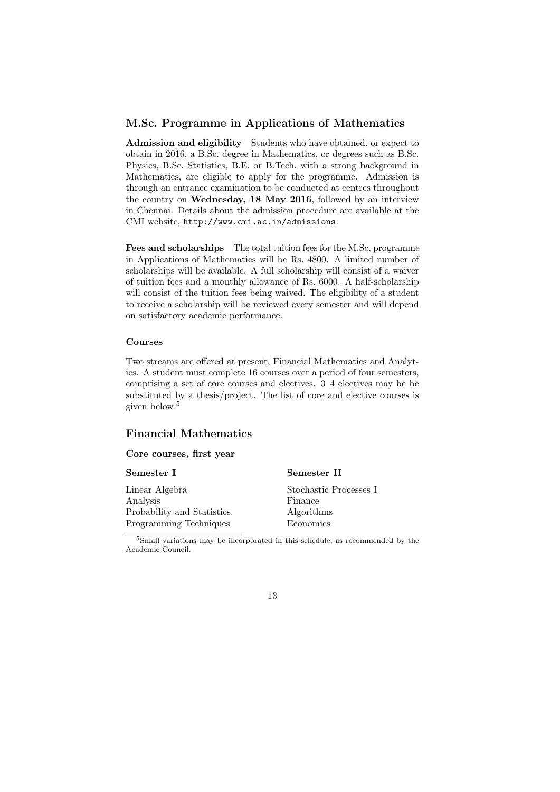## M.Sc. Programme in Applications of Mathematics

Admission and eligibility Students who have obtained, or expect to obtain in 2016, a B.Sc. degree in Mathematics, or degrees such as B.Sc. Physics, B.Sc. Statistics, B.E. or B.Tech. with a strong background in Mathematics, are eligible to apply for the programme. Admission is through an entrance examination to be conducted at centres throughout the country on Wednesday, 18 May 2016, followed by an interview in Chennai. Details about the admission procedure are available at the CMI website, http://www.cmi.ac.in/admissions.

Fees and scholarships The total tuition fees for the M.Sc. programme in Applications of Mathematics will be Rs. 4800. A limited number of scholarships will be available. A full scholarship will consist of a waiver of tuition fees and a monthly allowance of Rs. 6000. A half-scholarship will consist of the tuition fees being waived. The eligibility of a student to receive a scholarship will be reviewed every semester and will depend on satisfactory academic performance.

#### Courses

Two streams are offered at present, Financial Mathematics and Analytics. A student must complete 16 courses over a period of four semesters, comprising a set of core courses and electives. 3–4 electives may be be substituted by a thesis/project. The list of core and elective courses is given below.<sup>5</sup>

## Financial Mathematics

### Core courses, first year

#### Semester I

Linear Algebra Analysis Probability and Statistics Programming Techniques

Stochastic Processes I Finance Algorithms Economics

Semester II

<sup>5</sup>Small variations may be incorporated in this schedule, as recommended by the Academic Council.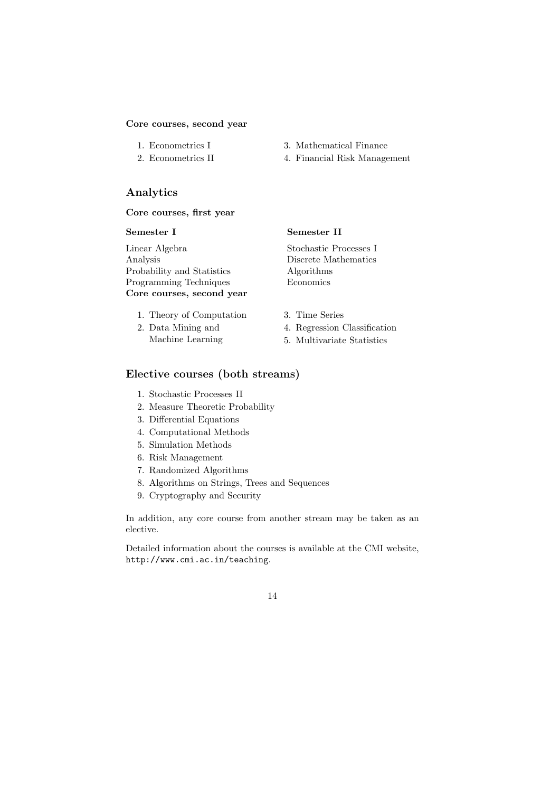#### Core courses, second year

- 1. Econometrics I
- 2. Econometrics II
- 3. Mathematical Finance
- 4. Financial Risk Management

## Analytics

## Core courses, first year

### Semester I

Linear Algebra Analysis Probability and Statistics Programming Techniques Core courses, second year

## 1. Theory of Computation

2. Data Mining and Machine Learning

## Semester II

Stochastic Processes I Discrete Mathematics Algorithms Economics

- 3. Time Series
- 4. Regression Classification
- 5. Multivariate Statistics

## Elective courses (both streams)

- 1. Stochastic Processes II
- 2. Measure Theoretic Probability
- 3. Differential Equations
- 4. Computational Methods
- 5. Simulation Methods
- 6. Risk Management
- 7. Randomized Algorithms
- 8. Algorithms on Strings, Trees and Sequences
- 9. Cryptography and Security

In addition, any core course from another stream may be taken as an elective.

Detailed information about the courses is available at the CMI website, http://www.cmi.ac.in/teaching.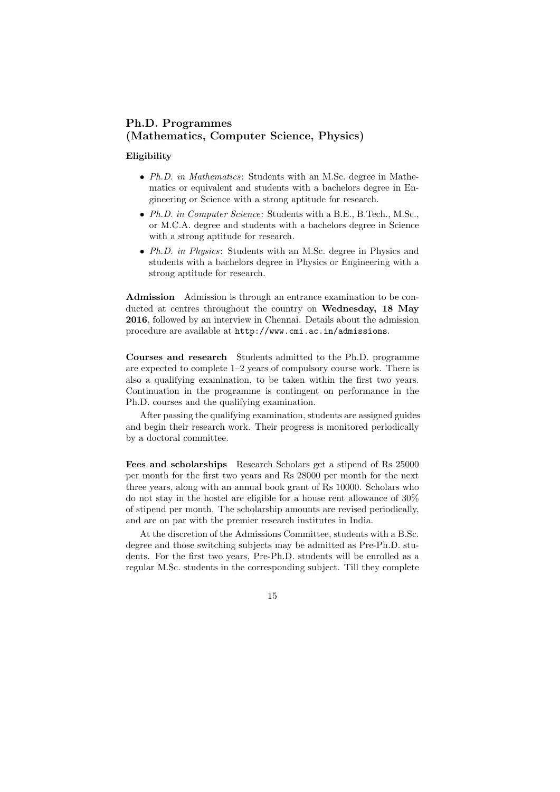## Ph.D. Programmes (Mathematics, Computer Science, Physics)

#### Eligibility

- Ph.D. in Mathematics: Students with an M.Sc. degree in Mathematics or equivalent and students with a bachelors degree in Engineering or Science with a strong aptitude for research.
- Ph.D. in Computer Science: Students with a B.E., B.Tech., M.Sc., or M.C.A. degree and students with a bachelors degree in Science with a strong aptitude for research.
- Ph.D. in Physics: Students with an M.Sc. degree in Physics and students with a bachelors degree in Physics or Engineering with a strong aptitude for research.

Admission Admission is through an entrance examination to be conducted at centres throughout the country on Wednesday, 18 May 2016, followed by an interview in Chennai. Details about the admission procedure are available at http://www.cmi.ac.in/admissions.

Courses and research Students admitted to the Ph.D. programme are expected to complete 1–2 years of compulsory course work. There is also a qualifying examination, to be taken within the first two years. Continuation in the programme is contingent on performance in the Ph.D. courses and the qualifying examination.

After passing the qualifying examination, students are assigned guides and begin their research work. Their progress is monitored periodically by a doctoral committee.

Fees and scholarships Research Scholars get a stipend of Rs 25000 per month for the first two years and Rs 28000 per month for the next three years, along with an annual book grant of Rs 10000. Scholars who do not stay in the hostel are eligible for a house rent allowance of 30% of stipend per month. The scholarship amounts are revised periodically, and are on par with the premier research institutes in India.

At the discretion of the Admissions Committee, students with a B.Sc. degree and those switching subjects may be admitted as Pre-Ph.D. students. For the first two years, Pre-Ph.D. students will be enrolled as a regular M.Sc. students in the corresponding subject. Till they complete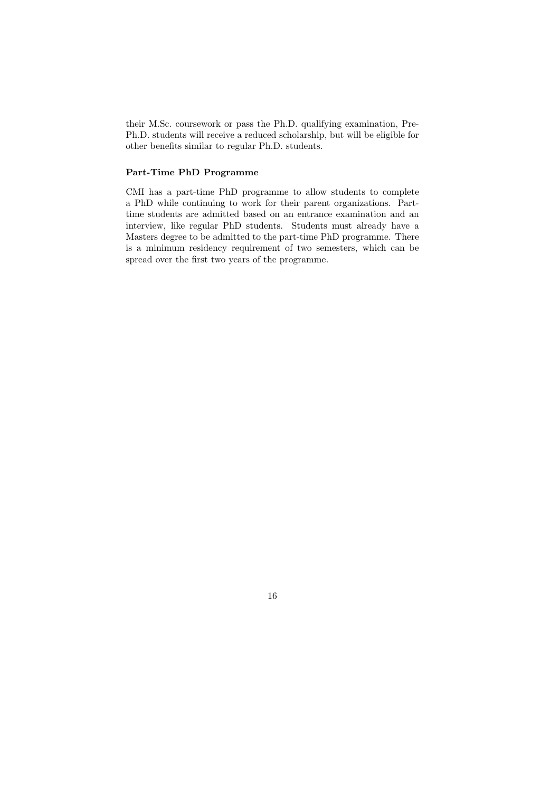their M.Sc. coursework or pass the Ph.D. qualifying examination, Pre-Ph.D. students will receive a reduced scholarship, but will be eligible for other benefits similar to regular Ph.D. students.

## Part-Time PhD Programme

CMI has a part-time PhD programme to allow students to complete a PhD while continuing to work for their parent organizations. Parttime students are admitted based on an entrance examination and an interview, like regular PhD students. Students must already have a Masters degree to be admitted to the part-time PhD programme. There is a minimum residency requirement of two semesters, which can be spread over the first two years of the programme.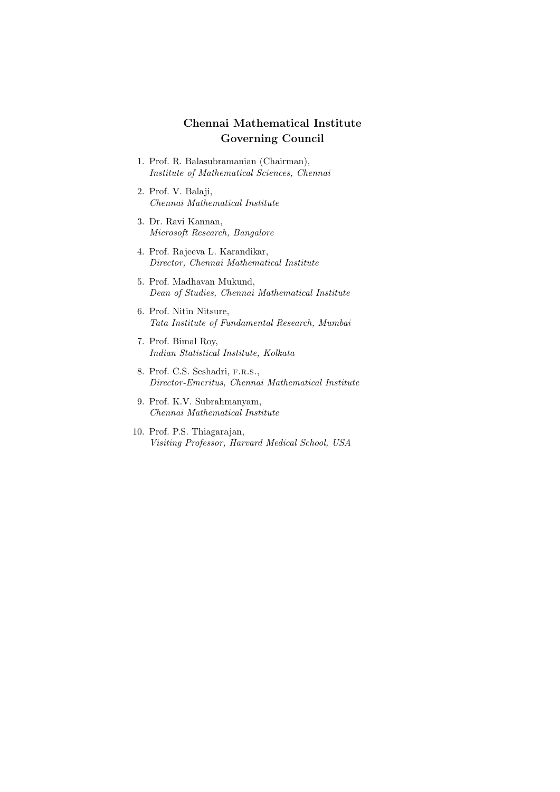## Chennai Mathematical Institute Governing Council

- 1. Prof. R. Balasubramanian (Chairman), Institute of Mathematical Sciences, Chennai
- 2. Prof. V. Balaji, Chennai Mathematical Institute
- 3. Dr. Ravi Kannan, Microsoft Research, Bangalore
- 4. Prof. Rajeeva L. Karandikar, Director, Chennai Mathematical Institute
- 5. Prof. Madhavan Mukund, Dean of Studies, Chennai Mathematical Institute
- 6. Prof. Nitin Nitsure, Tata Institute of Fundamental Research, Mumbai
- 7. Prof. Bimal Roy, Indian Statistical Institute, Kolkata
- 8. Prof. C.S. Seshadri, F.R.S., Director-Emeritus, Chennai Mathematical Institute
- 9. Prof. K.V. Subrahmanyam, Chennai Mathematical Institute
- 10. Prof. P.S. Thiagarajan, Visiting Professor, Harvard Medical School, USA